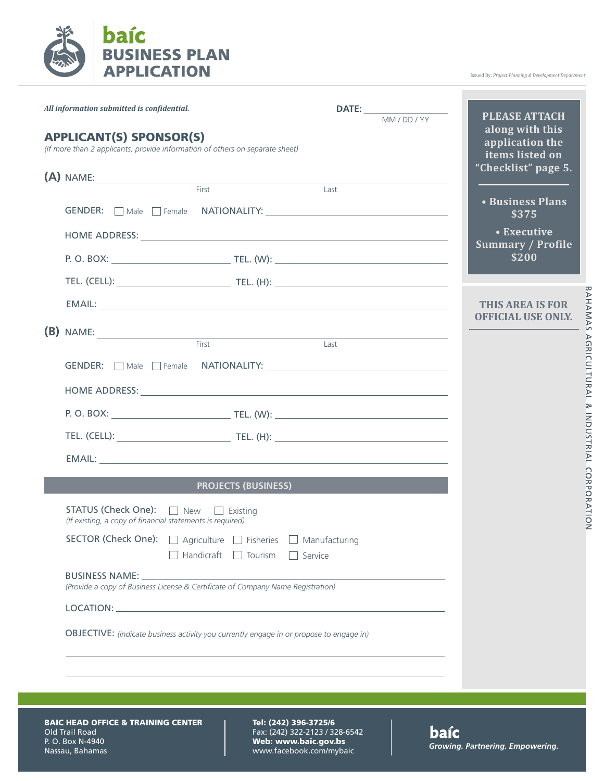

Issued By: Project Planning & Development Department

BAHAMAS AGRICULTURAL & INDUSTRIAL CORPORATION

| All information submitted is confidential. |                                                           |                                                                                                                  | $\frac{DATE:}{MM/DD/YY}$ | <b>PLEASE ATTACH</b>                                                         |
|--------------------------------------------|-----------------------------------------------------------|------------------------------------------------------------------------------------------------------------------|--------------------------|------------------------------------------------------------------------------|
|                                            | <b>APPLICANT(S) SPONSOR(S)</b>                            | (If more than 2 applicants, provide information of others on separate sheet)                                     |                          | along with this<br>application the<br>items listed on<br>"Checklist" page 5. |
|                                            |                                                           | $(A)$ NAME:<br>First                                                                                             | Last                     |                                                                              |
|                                            |                                                           |                                                                                                                  |                          | • Business Plans<br>\$375                                                    |
|                                            |                                                           |                                                                                                                  |                          | • Executive                                                                  |
|                                            |                                                           |                                                                                                                  |                          | <b>Summary / Profile</b><br>\$200                                            |
|                                            |                                                           |                                                                                                                  |                          |                                                                              |
|                                            |                                                           |                                                                                                                  |                          | <b>THIS AREA IS FOR</b><br><b>OFFICIAL USE ONLY.</b>                         |
|                                            |                                                           | $(B)$ NAME:                                                                                                      |                          |                                                                              |
|                                            |                                                           | First                                                                                                            | Last                     |                                                                              |
|                                            |                                                           |                                                                                                                  |                          |                                                                              |
|                                            |                                                           |                                                                                                                  |                          |                                                                              |
|                                            |                                                           |                                                                                                                  |                          |                                                                              |
|                                            |                                                           |                                                                                                                  |                          |                                                                              |
|                                            |                                                           |                                                                                                                  |                          |                                                                              |
|                                            |                                                           | <b>PROJECTS (BUSINESS)</b>                                                                                       |                          |                                                                              |
|                                            | (If existing, a copy of financial statements is required) | STATUS (Check One): □ New □ Existing                                                                             |                          |                                                                              |
|                                            |                                                           | SECTOR (Check One): □ Agriculture □ Fisheries □ Manufacturing<br>$\Box$ Handicraft $\Box$ Tourism $\Box$ Service |                          |                                                                              |
|                                            |                                                           | (Provide a copy of Business License & Certificate of Company Name Registration)                                  |                          |                                                                              |
|                                            |                                                           |                                                                                                                  |                          |                                                                              |
|                                            |                                                           | OBJECTIVE: (Indicate business activity you currently engage in or propose to engage in)                          |                          |                                                                              |
|                                            |                                                           |                                                                                                                  |                          |                                                                              |

BAIC HEAD OFFICE & TRAINING CENTER Old Trail Road P. O. Box N-4940 Nassau, Bahamas

Tel: (242) 396-3725/6 Fax: (242) 322-2123 / 328-6542 Web: www.baic.gov.bs www.facebook.com/mybaic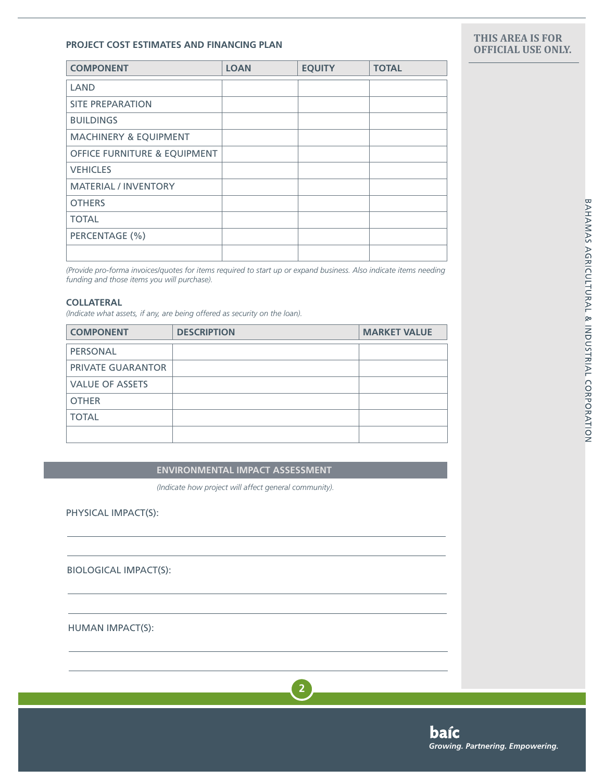## **PROJECT COST ESTIMATES AND FINANCING PLAN**

| <b>COMPONENT</b>                        | <b>LOAN</b> | <b>EQUITY</b> | <b>TOTAL</b> |
|-----------------------------------------|-------------|---------------|--------------|
| LAND                                    |             |               |              |
| <b>SITE PREPARATION</b>                 |             |               |              |
| <b>BUILDINGS</b>                        |             |               |              |
| <b>MACHINERY &amp; EQUIPMENT</b>        |             |               |              |
| <b>OFFICE FURNITURE &amp; EQUIPMENT</b> |             |               |              |
| <b>VEHICLES</b>                         |             |               |              |
| <b>MATERIAL / INVENTORY</b>             |             |               |              |
| <b>OTHERS</b>                           |             |               |              |
| <b>TOTAL</b>                            |             |               |              |
| PERCENTAGE (%)                          |             |               |              |
|                                         |             |               |              |

*(Provide pro-forma invoices/quotes for items required to start up or expand business. Also indicate items needing funding and those items you will purchase).*

### **COLLATERAL**

*(Indicate what assets, if any, are being offered as security on the loan).*

| <b>COMPONENT</b>         | <b>DESCRIPTION</b> | <b>MARKET VALUE</b> |
|--------------------------|--------------------|---------------------|
| PERSONAL                 |                    |                     |
| <b>PRIVATE GUARANTOR</b> |                    |                     |
| <b>VALUE OF ASSETS</b>   |                    |                     |
| <b>OTHER</b>             |                    |                     |
| <b>TOTAL</b>             |                    |                     |
|                          |                    |                     |

**ENVIRONMENTAL IMPACT ASSESSMENT**

*(Indicate how project will affect general community).*

PHYSICAL IMPACT(S):

BIOLOGICAL IMPACT(S):

HUMAN IMPACT(S):

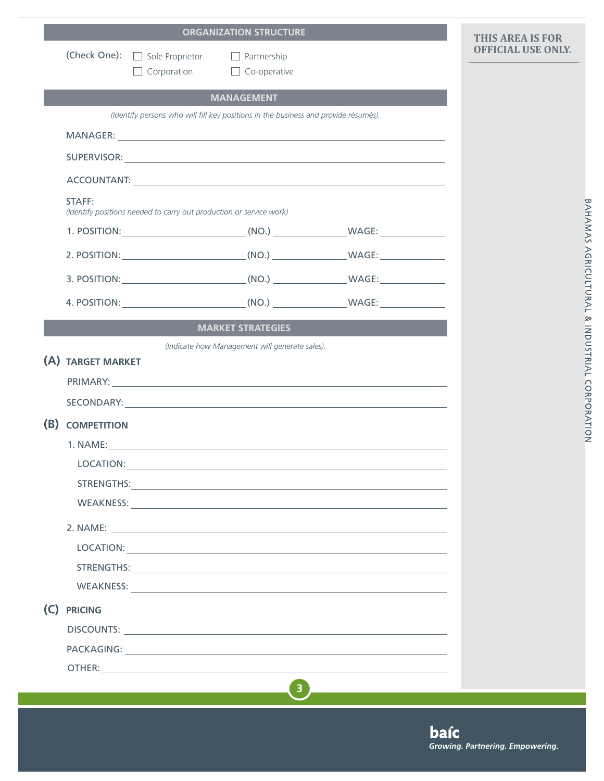|     |                    |                                                                                     | <b>ORGANIZATION STRUCTURE</b>                  |                                                                                                                                                                                                                                | <b>THIS AREA IS FOR</b>   |
|-----|--------------------|-------------------------------------------------------------------------------------|------------------------------------------------|--------------------------------------------------------------------------------------------------------------------------------------------------------------------------------------------------------------------------------|---------------------------|
|     | (Check One):       | Sole Proprietor Partnership<br>$\Box$ Corporation $\Box$ Co-operative               |                                                |                                                                                                                                                                                                                                | <b>OFFICIAL USE ONLY.</b> |
|     |                    |                                                                                     |                                                |                                                                                                                                                                                                                                |                           |
|     |                    | (Identify persons who will fill key positions in the business and provide résumés). | <b>MANAGEMENT</b>                              |                                                                                                                                                                                                                                |                           |
|     |                    |                                                                                     |                                                |                                                                                                                                                                                                                                |                           |
|     |                    |                                                                                     |                                                |                                                                                                                                                                                                                                |                           |
|     |                    |                                                                                     |                                                |                                                                                                                                                                                                                                |                           |
|     |                    |                                                                                     |                                                |                                                                                                                                                                                                                                |                           |
|     | STAFF:             | (Identify positions needed to carry out production or service work)                 |                                                |                                                                                                                                                                                                                                |                           |
|     |                    |                                                                                     |                                                |                                                                                                                                                                                                                                |                           |
|     |                    |                                                                                     |                                                |                                                                                                                                                                                                                                |                           |
|     |                    |                                                                                     |                                                |                                                                                                                                                                                                                                |                           |
|     |                    |                                                                                     |                                                | 4. POSITION: (NO.) WAGE:                                                                                                                                                                                                       |                           |
|     |                    |                                                                                     | <b>MARKET STRATEGIES</b>                       |                                                                                                                                                                                                                                |                           |
|     |                    |                                                                                     | (Indicate how Management will generate sales). |                                                                                                                                                                                                                                |                           |
|     | (A) TARGET MARKET  |                                                                                     |                                                |                                                                                                                                                                                                                                |                           |
|     |                    |                                                                                     |                                                |                                                                                                                                                                                                                                |                           |
|     |                    |                                                                                     |                                                |                                                                                                                                                                                                                                |                           |
| (B) | <b>COMPETITION</b> |                                                                                     |                                                |                                                                                                                                                                                                                                |                           |
|     |                    |                                                                                     |                                                |                                                                                                                                                                                                                                |                           |
|     | LOCATION:          |                                                                                     |                                                | <u> 1989 - Johann Stoff, fransk politiker (d. 1989)</u>                                                                                                                                                                        |                           |
|     |                    |                                                                                     |                                                | STRENGTHS: And the contract of the contract of the contract of the contract of the contract of the contract of the contract of the contract of the contract of the contract of the contract of the contract of the contract of |                           |
|     |                    |                                                                                     |                                                |                                                                                                                                                                                                                                |                           |
|     |                    |                                                                                     |                                                |                                                                                                                                                                                                                                |                           |
|     |                    |                                                                                     |                                                | LOCATION: And the contract of the contract of the contract of the contract of the contract of the contract of the contract of the contract of the contract of the contract of the contract of the contract of the contract of  |                           |
|     |                    |                                                                                     |                                                |                                                                                                                                                                                                                                |                           |
|     |                    |                                                                                     |                                                | WEAKNESS: WEAKNESS:                                                                                                                                                                                                            |                           |
| (C) | <b>PRICING</b>     |                                                                                     |                                                |                                                                                                                                                                                                                                |                           |
|     |                    |                                                                                     |                                                |                                                                                                                                                                                                                                |                           |
|     |                    |                                                                                     |                                                | PACKAGING: New York PACKAGING:                                                                                                                                                                                                 |                           |
|     |                    |                                                                                     |                                                |                                                                                                                                                                                                                                |                           |
|     |                    |                                                                                     | $\overline{\mathbf{3}}$                        |                                                                                                                                                                                                                                |                           |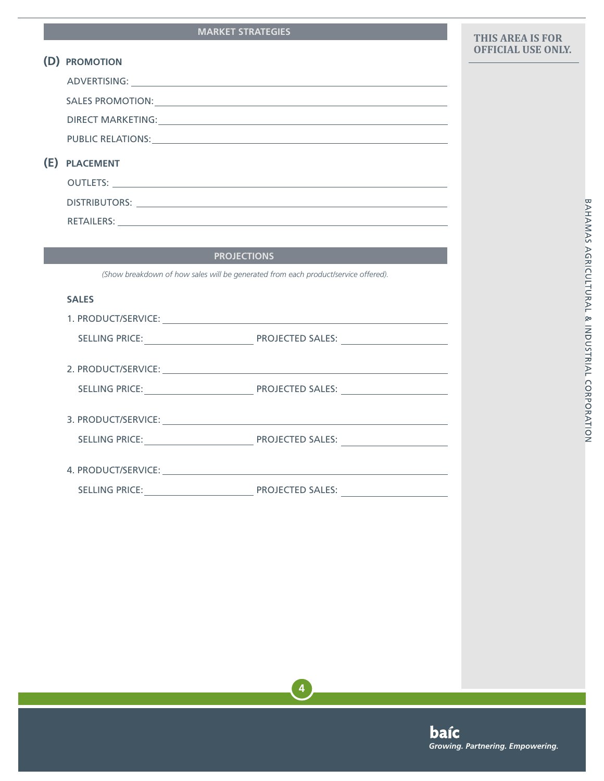# **MARKET STRATEGIES**

|     | (D) PROMOTION                                                                                                                                                                                                                  |
|-----|--------------------------------------------------------------------------------------------------------------------------------------------------------------------------------------------------------------------------------|
|     | ADVERTISING: New York State State State State State State State State State State State State State State State State State State State State State State State State State State State State State State State State State St |
|     | SALES PROMOTION: University of the service of the service of the service of the service of the service of the service of the service of the service of the service of the service of the service of the service of the service |
|     | DIRECT MARKETING: University of the contract of the contract of the contract of the contract of the contract of the contract of the contract of the contract of the contract of the contract of the contract of the contract o |
|     |                                                                                                                                                                                                                                |
| (E) | <b>PLACEMENT</b>                                                                                                                                                                                                               |
|     |                                                                                                                                                                                                                                |
|     |                                                                                                                                                                                                                                |
|     |                                                                                                                                                                                                                                |

# **PROJECTIONS**

*(Show breakdown of how sales will be generated from each product/service offered).*

# **SALES**

| SELLING PRICE:                                                                                                                                                                                                                 | <b>PROJECTED SALES:</b> |
|--------------------------------------------------------------------------------------------------------------------------------------------------------------------------------------------------------------------------------|-------------------------|
| 2. PRODUCT/SERVICE:                                                                                                                                                                                                            |                         |
| <b>SELLING PRICE:</b>                                                                                                                                                                                                          | PROJECTED SALES:        |
| 3. PRODUCT/SERVICE:                                                                                                                                                                                                            |                         |
| SELLING PRICE:                                                                                                                                                                                                                 | <b>PROJECTED SALES:</b> |
| 4. PRODUCT/SERVICE: A SALE AND THE SERVICE OF THE SALE AND THE SALE AND THE SALE AND THE SALE AND THE SALE AND THE SALE AND THE SALE AND THE SALE AND THE SALE AND THE SALE AND THE SALE AND THE SALE AND THE SALE AND THE SAL |                         |
| <b>SELLING PRICE:</b>                                                                                                                                                                                                          | <b>PROJECTED SALES:</b> |

# BAHAMAS AGRICULTURAL & INDUSTRIAL CORPORATION

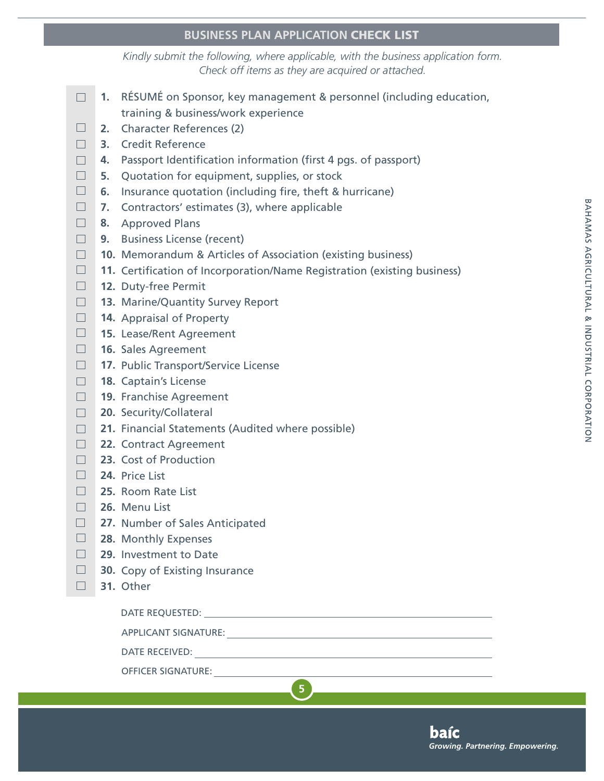# **BUSINESS PLAN APPLICATION** CHECK LIST

*Kindly submit the following, where applicable, with the business application form. Check off items as they are acquired or attached.*

- $\Box$ **1.** RÉSUMÉ on Sponsor, key management & personnel (including education, training & business/work experience
- $\Box$ **2.** Character References (2)
- $\Box$ **3.** Credit Reference
- $\Box$ **4.** Passport Identification information (first 4 pgs. of passport)
- $\Box$ **5.** Quotation for equipment, supplies, or stock
- $\Box$ **6.** Insurance quotation (including fire, theft & hurricane)
- $\Box$ **7.** Contractors' estimates (3), where applicable
- $\Box$ **8.** Approved Plans
- $\Box$ **9.** Business License (recent)
- $\Box$ **10.** Memorandum & Articles of Association (existing business)
- $\Box$ **11.** Certification of Incorporation/Name Registration (existing business)

**5**

- $\Box$ **12.** Duty-free Permit
- $\Box$ **13.** Marine/Quantity Survey Report
- $\Box$ **14.** Appraisal of Property
- $\Box$ **15.** Lease/Rent Agreement
- $\Box$ **16.** Sales Agreement
- $\Box$ **17.** Public Transport/Service License
- $\Box$ **18.** Captain's License
- $\Box$ **19.** Franchise Agreement
- $\Box$ **20.** Security/Collateral
- $\Box$ **21.** Financial Statements (Audited where possible)
- $\Box$ **22.** Contract Agreement
- $\Box$ **23.** Cost of Production
- $\Box$ **24.** Price List
- $\Box$ **25.** Room Rate List
- $\Box$ **26.** Menu List
- $\Box$ **27.** Number of Sales Anticipated
- $\Box$ **28.** Monthly Expenses
- $\Box$ **29.** Investment to Date
- $\Box$ **30.** Copy of Existing Insurance
- $\Box$ **31.** Other

DATE REQUESTED:

APPLICANT SIGNATURE:

DATE RECEIVED:

OFFICER SIGNATURE: